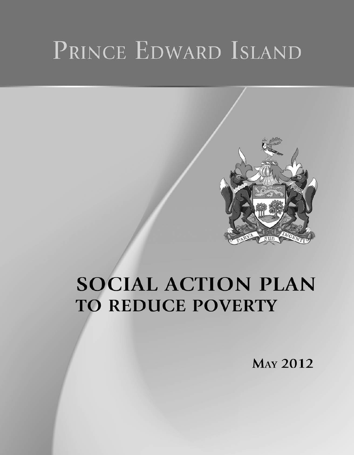# PRINCE EDWARD ISLAND



# **SOCIAL ACTION PLAN TO REDUCE POVERTY**

**MAY 2012**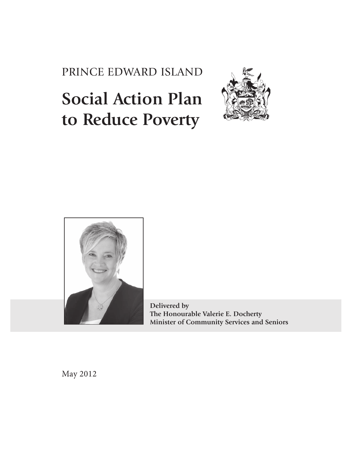PRINCE EDWARD ISLAND

# **Social Action Plan to Reduce Poverty**





**Delivered by The Honourable Valerie E. Docherty Minister of Community Services and Seniors**

May 2012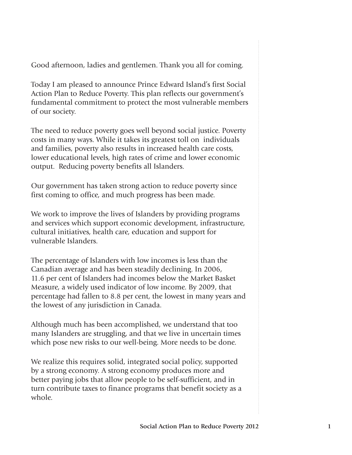Good afternoon, ladies and gentlemen. Thank you all for coming.

Today I am pleased to announce Prince Edward Island's first Social Action Plan to Reduce Poverty. This plan reflects our government's fundamental commitment to protect the most vulnerable members of our society.

The need to reduce poverty goes well beyond social justice. Poverty costs in many ways. While it takes its greatest toll on individuals and families, poverty also results in increased health care costs, lower educational levels, high rates of crime and lower economic output. Reducing poverty benefits all Islanders.

Our government has taken strong action to reduce poverty since first coming to office, and much progress has been made.

We work to improve the lives of Islanders by providing programs and services which support economic development, infrastructure, cultural initiatives, health care, education and support for vulnerable Islanders.

The percentage of Islanders with low incomes is less than the Canadian average and has been steadily declining. In 2006, 11.6 per cent of Islanders had incomes below the Market Basket Measure, a widely used indicator of low income. By 2009, that percentage had fallen to 8.8 per cent, the lowest in many years and the lowest of any jurisdiction in Canada.

Although much has been accomplished, we understand that too many Islanders are struggling, and that we live in uncertain times which pose new risks to our well-being. More needs to be done.

We realize this requires solid, integrated social policy, supported by a strong economy. A strong economy produces more and better paying jobs that allow people to be self-sufficient, and in turn contribute taxes to finance programs that benefit society as a whole.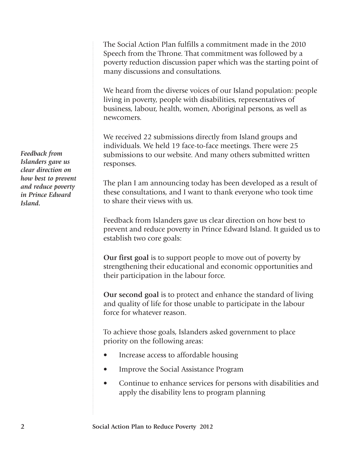The Social Action Plan fulfills a commitment made in the 2010 Speech from the Throne. That commitment was followed by a poverty reduction discussion paper which was the starting point of many discussions and consultations.

We heard from the diverse voices of our Island population: people living in poverty, people with disabilities, representatives of business, labour, health, women, Aboriginal persons, as well as newcomers.

We received 22 submissions directly from Island groups and individuals. We held 19 face-to-face meetings. There were 25 submissions to our website. And many others submitted written responses.

The plan I am announcing today has been developed as a result of these consultations, and I want to thank everyone who took time to share their views with us.

Feedback from Islanders gave us clear direction on how best to prevent and reduce poverty in Prince Edward Island. It guided us to establish two core goals:

**Our first goal** is to support people to move out of poverty by strengthening their educational and economic opportunities and their participation in the labour force.

**Our second goal** is to protect and enhance the standard of living and quality of life for those unable to participate in the labour force for whatever reason.

To achieve those goals, Islanders asked government to place priority on the following areas:

- Increase access to affordable housing
- Improve the Social Assistance Program
- Continue to enhance services for persons with disabilities and apply the disability lens to program planning

*Feedback from Islanders gave us clear direction on how best to prevent and reduce poverty in Prince Edward Island.*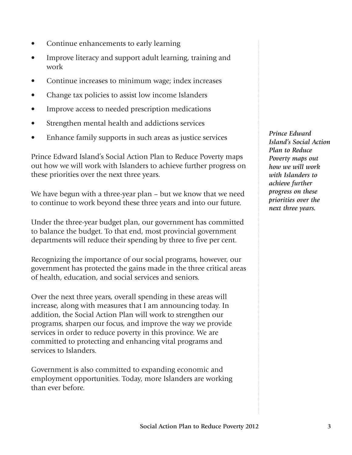- Continue enhancements to early learning
- Improve literacy and support adult learning, training and work
- Continue increases to minimum wage; index increases
- Change tax policies to assist low income Islanders
- Improve access to needed prescription medications
- Strengthen mental health and addictions services
- Enhance family supports in such areas as justice services

Prince Edward Island's Social Action Plan to Reduce Poverty maps out how we will work with Islanders to achieve further progress on these priorities over the next three years.

We have begun with a three-year plan – but we know that we need to continue to work beyond these three years and into our future.

Under the three-year budget plan, our government has committed to balance the budget. To that end, most provincial government departments will reduce their spending by three to five per cent.

Recognizing the importance of our social programs, however, our government has protected the gains made in the three critical areas of health, education, and social services and seniors.

Over the next three years, overall spending in these areas will increase, along with measures that I am announcing today. In addition, the Social Action Plan will work to strengthen our programs, sharpen our focus, and improve the way we provide services in order to reduce poverty in this province. We are committed to protecting and enhancing vital programs and services to Islanders.

Government is also committed to expanding economic and employment opportunities. Today, more Islanders are working than ever before.

*Prince Edward Island's Social Action Plan to Reduce Poverty maps out how we will work with Islanders to achieve further progress on these priorities over the next three years.*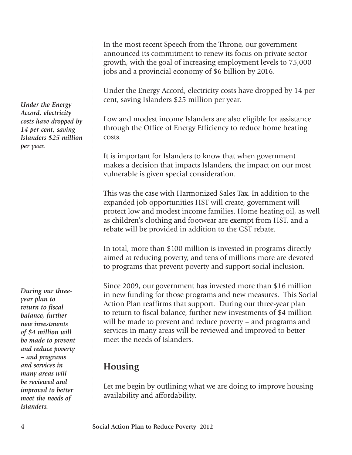In the most recent Speech from the Throne, our government announced its commitment to renew its focus on private sector growth, with the goal of increasing employment levels to 75,000 jobs and a provincial economy of \$6 billion by 2016.

Under the Energy Accord, electricity costs have dropped by 14 per cent, saving Islanders \$25 million per year.

Low and modest income Islanders are also eligible for assistance through the Office of Energy Efficiency to reduce home heating costs.

It is important for Islanders to know that when government makes a decision that impacts Islanders, the impact on our most vulnerable is given special consideration.

This was the case with Harmonized Sales Tax. In addition to the expanded job opportunities HST will create, government will protect low and modest income families. Home heating oil, as well as children's clothing and footwear are exempt from HST, and a rebate will be provided in addition to the GST rebate.

In total, more than \$100 million is invested in programs directly aimed at reducing poverty, and tens of millions more are devoted to programs that prevent poverty and support social inclusion.

Since 2009, our government has invested more than \$16 million in new funding for those programs and new measures. This Social Action Plan reaffirms that support. During our three-year plan to return to fiscal balance, further new investments of \$4 million will be made to prevent and reduce poverty – and programs and services in many areas will be reviewed and improved to better meet the needs of Islanders.

### **Housing**

Let me begin by outlining what we are doing to improve housing availability and affordability.

*Under the Energy Accord, electricity costs have dropped by 14 per cent, saving Islanders \$25 million per year.*

*During our threeyear plan to return to fiscal balance, further new investments of \$4 million will be made to prevent and reduce poverty – and programs and services in many areas will be reviewed and improved to better meet the needs of Islanders.*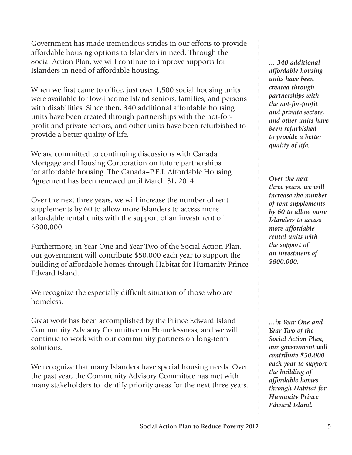Government has made tremendous strides in our efforts to provide affordable housing options to Islanders in need. Through the Social Action Plan, we will continue to improve supports for Islanders in need of affordable housing.

When we first came to office, just over 1,500 social housing units were available for low-income Island seniors, families, and persons with disabilities. Since then, 340 additional affordable housing units have been created through partnerships with the not-forprofit and private sectors, and other units have been refurbished to provide a better quality of life.

We are committed to continuing discussions with Canada Mortgage and Housing Corporation on future partnerships for affordable housing. The Canada–P.E.I. Affordable Housing Agreement has been renewed until March 31, 2014.

Over the next three years, we will increase the number of rent supplements by 60 to allow more Islanders to access more affordable rental units with the support of an investment of \$800,000.

Furthermore, in Year One and Year Two of the Social Action Plan, our government will contribute \$50,000 each year to support the building of affordable homes through Habitat for Humanity Prince Edward Island.

We recognize the especially difficult situation of those who are homeless.

Great work has been accomplished by the Prince Edward Island Community Advisory Committee on Homelessness, and we will continue to work with our community partners on long-term solutions.

We recognize that many Islanders have special housing needs. Over the past year, the Community Advisory Committee has met with many stakeholders to identify priority areas for the next three years. *... 340 additional affordable housing units have been created through partnerships with the not-for-profit and private sectors, and other units have been refurbished to provide a better quality of life.* 

*Over the next three years, we will increase the number of rent supplements by 60 to allow more Islanders to access more affordable rental units with the support of an investment of \$800,000.*

*...in Year One and Year Two of the Social Action Plan, our government will contribute \$50,000 each year to support the building of affordable homes through Habitat for Humanity Prince Edward Island.*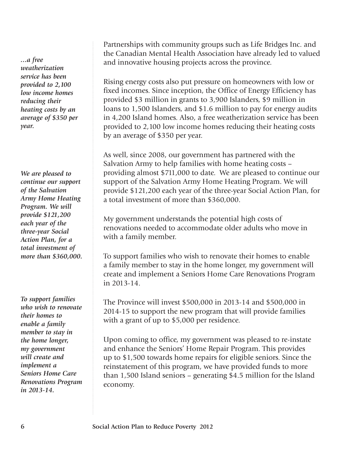*...a free weatherization service has been provided to 2,100 low income homes reducing their heating costs by an average of \$350 per year.*

*We are pleased to continue our support of the Salvation Army Home Heating Program. We will provide \$121,200 each year of the three-year Social Action Plan, for a total investment of more than \$360,000.*

*To support families who wish to renovate their homes to enable a family member to stay in the home longer, my government will create and implement a Seniors Home Care Renovations Program in 2013-14.*

Partnerships with community groups such as Life Bridges Inc. and the Canadian Mental Health Association have already led to valued and innovative housing projects across the province.

Rising energy costs also put pressure on homeowners with low or fixed incomes. Since inception, the Office of Energy Efficiency has provided \$3 million in grants to 3,900 Islanders, \$9 million in loans to 1,500 Islanders, and \$1.6 million to pay for energy audits in 4,200 Island homes. Also, a free weatherization service has been provided to 2,100 low income homes reducing their heating costs by an average of \$350 per year.

As well, since 2008, our government has partnered with the Salvation Army to help families with home heating costs – providing almost \$711,000 to date. We are pleased to continue our support of the Salvation Army Home Heating Program. We will provide \$121,200 each year of the three-year Social Action Plan, for a total investment of more than \$360,000.

My government understands the potential high costs of renovations needed to accommodate older adults who move in with a family member.

To support families who wish to renovate their homes to enable a family member to stay in the home longer, my government will create and implement a Seniors Home Care Renovations Program in 2013-14.

The Province will invest \$500,000 in 2013-14 and \$500,000 in 2014-15 to support the new program that will provide families with a grant of up to \$5,000 per residence.

Upon coming to office, my government was pleased to re-instate and enhance the Seniors' Home Repair Program. This provides up to \$1,500 towards home repairs for eligible seniors. Since the reinstatement of this program, we have provided funds to more than 1,500 Island seniors – generating \$4.5 million for the Island economy.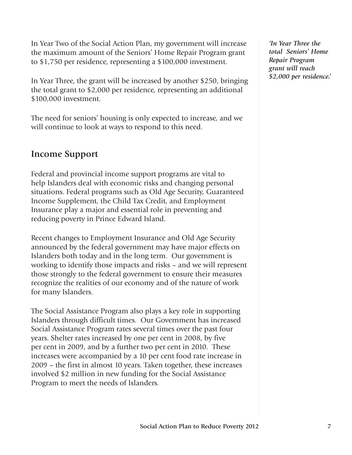In Year Two of the Social Action Plan, my government will increase the maximum amount of the Seniors' Home Repair Program grant to \$1,750 per residence, representing a \$100,000 investment.

In Year Three, the grant will be increased by another \$250, bringing the total grant to \$2,000 per residence, representing an additional \$100,000 investment.

The need for seniors' housing is only expected to increase, and we will continue to look at ways to respond to this need.

#### **Income Support**

Federal and provincial income support programs are vital to help Islanders deal with economic risks and changing personal situations. Federal programs such as Old Age Security, Guaranteed Income Supplement, the Child Tax Credit, and Employment Insurance play a major and essential role in preventing and reducing poverty in Prince Edward Island.

Recent changes to Employment Insurance and Old Age Security announced by the federal government may have major effects on Islanders both today and in the long term. Our government is working to identify those impacts and risks – and we will represent those strongly to the federal government to ensure their measures recognize the realities of our economy and of the nature of work for many Islanders.

The Social Assistance Program also plays a key role in supporting Islanders through difficult times. Our Government has increased Social Assistance Program rates several times over the past four years. Shelter rates increased by one per cent in 2008, by five per cent in 2009, and by a further two per cent in 2010. These increases were accompanied by a 10 per cent food rate increase in 2009 – the first in almost 10 years. Taken together, these increases involved \$2 million in new funding for the Social Assistance Program to meet the needs of Islanders.

*'In Year Three the total Seniors' Home Repair Program grant will reach \$2,000 per residence.'*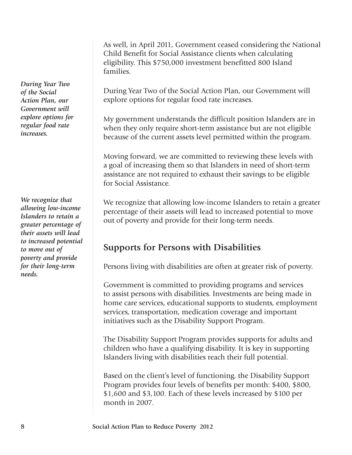*During Year Two of the Social Action Plan, our Government will explore options for regular food rate increases.*

*We recognize that allowing low-income Islanders to retain a greater percentage of their assets will lead to increased potential to move out of poverty and provide for their long-term needs.*

As well, in April 2011, Government ceased considering the National Child Benefit for Social Assistance clients when calculating eligibility. This \$750,000 investment benefitted 800 Island families.

During Year Two of the Social Action Plan, our Government will explore options for regular food rate increases.

My government understands the difficult position Islanders are in when they only require short-term assistance but are not eligible because of the current assets level permitted within the program.

Moving forward, we are committed to reviewing these levels with a goal of increasing them so that Islanders in need of short-term assistance are not required to exhaust their savings to be eligible for Social Assistance.

We recognize that allowing low-income Islanders to retain a greater percentage of their assets will lead to increased potential to move out of poverty and provide for their long-term needs.

### **Supports for Persons with Disabilities**

Persons living with disabilities are often at greater risk of poverty.

Government is committed to providing programs and services to assist persons with disabilities. Investments are being made in home care services, educational supports to students, employment services, transportation, medication coverage and important initiatives such as the Disability Support Program.

The Disability Support Program provides supports for adults and children who have a qualifying disability. It is key in supporting Islanders living with disabilities reach their full potential.

Based on the client's level of functioning, the Disability Support Program provides four levels of benefits per month: \$400, \$800, \$1,600 and \$3,100. Each of these levels increased by \$100 per month in 2007.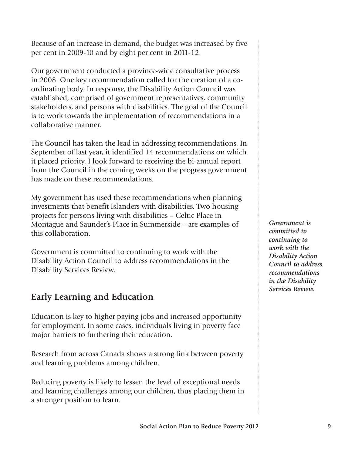Because of an increase in demand, the budget was increased by five per cent in 2009-10 and by eight per cent in 2011-12.

Our government conducted a province-wide consultative process in 2008. One key recommendation called for the creation of a coordinating body. In response, the Disability Action Council was established, comprised of government representatives, community stakeholders, and persons with disabilities. The goal of the Council is to work towards the implementation of recommendations in a collaborative manner.

The Council has taken the lead in addressing recommendations. In September of last year, it identified 14 recommendations on which it placed priority. I look forward to receiving the bi-annual report from the Council in the coming weeks on the progress government has made on these recommendations.

My government has used these recommendations when planning investments that benefit Islanders with disabilities. Two housing projects for persons living with disabilities – Celtic Place in Montague and Saunder's Place in Summerside – are examples of this collaboration.

Government is committed to continuing to work with the Disability Action Council to address recommendations in the Disability Services Review.

### **Early Learning and Education**

Education is key to higher paying jobs and increased opportunity for employment. In some cases, individuals living in poverty face major barriers to furthering their education.

Research from across Canada shows a strong link between poverty and learning problems among children.

Reducing poverty is likely to lessen the level of exceptional needs and learning challenges among our children, thus placing them in a stronger position to learn.

*Government is committed to continuing to work with the Disability Action Council to address recommendations in the Disability Services Review.*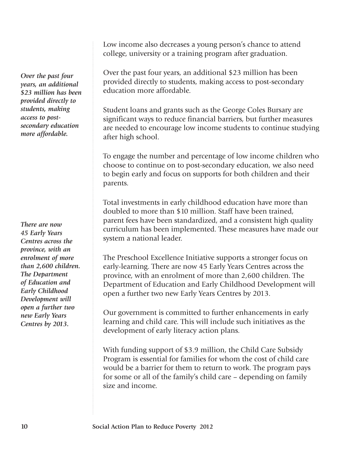*Over the past four years, an additional \$23 million has been provided directly to students, making access to postsecondary education more affordable.*

*There are now 45 Early Years Centres across the province, with an enrolment of more than 2,600 children. The Department of Education and Early Childhood Development will open a further two new Early Years Centres by 2013.*

Low income also decreases a young person's chance to attend college, university or a training program after graduation.

Over the past four years, an additional \$23 million has been provided directly to students, making access to post-secondary education more affordable.

Student loans and grants such as the George Coles Bursary are significant ways to reduce financial barriers, but further measures are needed to encourage low income students to continue studying after high school.

To engage the number and percentage of low income children who choose to continue on to post-secondary education, we also need to begin early and focus on supports for both children and their parents.

Total investments in early childhood education have more than doubled to more than \$10 million. Staff have been trained, parent fees have been standardized, and a consistent high quality curriculum has been implemented. These measures have made our system a national leader.

The Preschool Excellence Initiative supports a stronger focus on early-learning. There are now 45 Early Years Centres across the province, with an enrolment of more than 2,600 children. The Department of Education and Early Childhood Development will open a further two new Early Years Centres by 2013.

Our government is committed to further enhancements in early learning and child care. This will include such initiatives as the development of early literacy action plans.

With funding support of \$3.9 million, the Child Care Subsidy Program is essential for families for whom the cost of child care would be a barrier for them to return to work. The program pays for some or all of the family's child care – depending on family size and income.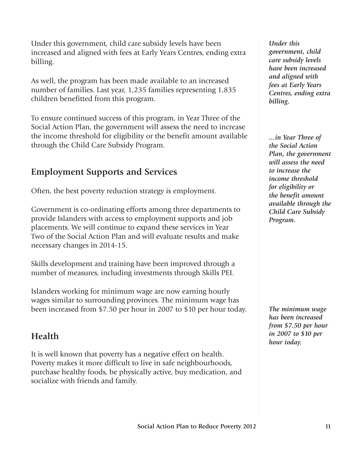Under this government, child care subsidy levels have been increased and aligned with fees at Early Years Centres, ending extra billing.

As well, the program has been made available to an increased number of families. Last year, 1,235 families representing 1,835 children benefitted from this program.

To ensure continued success of this program, in Year Three of the Social Action Plan, the government will assess the need to increase the income threshold for eligibility or the benefit amount available through the Child Care Subsidy Program.

#### **Employment Supports and Services**

Often, the best poverty reduction strategy is employment.

Government is co-ordinating efforts among three departments to provide Islanders with access to employment supports and job placements. We will continue to expand these services in Year Two of the Social Action Plan and will evaluate results and make necessary changes in 2014-15.

Skills development and training have been improved through a number of measures, including investments through Skills PEI.

Islanders working for minimum wage are now earning hourly wages similar to surrounding provinces. The minimum wage has been increased from \$7.50 per hour in 2007 to \$10 per hour today.

## **Health**

It is well known that poverty has a negative effect on health. Poverty makes it more difficult to live in safe neighbourhoods, purchase healthy foods, be physically active, buy medication, and socialize with friends and family.

*Under this government, child care subsidy levels have been increased and aligned with fees at Early Years Centres, ending extra billing.*

*...in Year Three of the Social Action Plan, the government will assess the need to increase the income threshold for eligibility or the benefit amount available through the Child Care Subsidy Program.*

*The minimum wage has been increased from \$7.50 per hour in 2007 to \$10 per hour today.*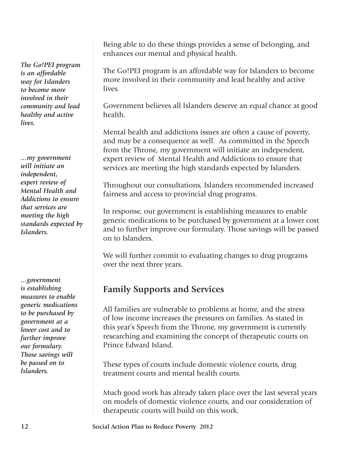*The Go!PEI program is an affordable way for Islanders to become more involved in their community and lead healthy and active lives.*

*...my government will initiate an independent, expert review of Mental Health and Addictions to ensure that services are meeting the high standards expected by Islanders.*

*...government is establishing measures to enable generic medications to be purchased by government at a lower cost and to further improve our formulary. Those savings will be passed on to Islanders.*

Being able to do these things provides a sense of belonging, and enhances our mental and physical health.

The Go!PEI program is an affordable way for Islanders to become more involved in their community and lead healthy and active lives.

Government believes all Islanders deserve an equal chance at good health.

Mental health and addictions issues are often a cause of poverty, and may be a consequence as well. As committed in the Speech from the Throne, my government will initiate an independent, expert review of Mental Health and Addictions to ensure that services are meeting the high standards expected by Islanders.

Throughout our consultations, Islanders recommended increased fairness and access to provincial drug programs.

In response, our government is establishing measures to enable generic medications to be purchased by government at a lower cost and to further improve our formulary. Those savings will be passed on to Islanders.

We will further commit to evaluating changes to drug programs over the next three years.

#### **Family Supports and Services**

All families are vulnerable to problems at home, and the stress of low income increases the pressures on families. As stated in this year's Speech from the Throne, my government is currently researching and examining the concept of therapeutic courts on Prince Edward Island.

These types of courts include domestic violence courts, drug treatment courts and mental health courts.

Much good work has already taken place over the last several years on models of domestic violence courts, and our consideration of therapeutic courts will build on this work.

**12 Social Action Plan to Reduce Poverty 2012**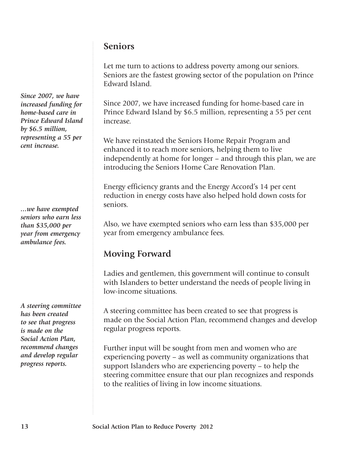#### **Seniors**

Let me turn to actions to address poverty among our seniors. Seniors are the fastest growing sector of the population on Prince Edward Island.

Since 2007, we have increased funding for home-based care in Prince Edward Island by \$6.5 million, representing a 55 per cent increase.

We have reinstated the Seniors Home Repair Program and enhanced it to reach more seniors, helping them to live independently at home for longer – and through this plan, we are introducing the Seniors Home Care Renovation Plan.

Energy efficiency grants and the Energy Accord's 14 per cent reduction in energy costs have also helped hold down costs for seniors.

Also, we have exempted seniors who earn less than \$35,000 per year from emergency ambulance fees.

## **Moving Forward**

Ladies and gentlemen, this government will continue to consult with Islanders to better understand the needs of people living in low-income situations.

A steering committee has been created to see that progress is made on the Social Action Plan, recommend changes and develop regular progress reports.

Further input will be sought from men and women who are experiencing poverty – as well as community organizations that support Islanders who are experiencing poverty – to help the steering committee ensure that our plan recognizes and responds to the realities of living in low income situations.

*Since 2007, we have increased funding for home-based care in Prince Edward Island by \$6.5 million, representing a 55 per cent increase.*

*...we have exempted seniors who earn less than \$35,000 per year from emergency ambulance fees.*

*A steering committee has been created to see that progress is made on the Social Action Plan, recommend changes and develop regular progress reports.*